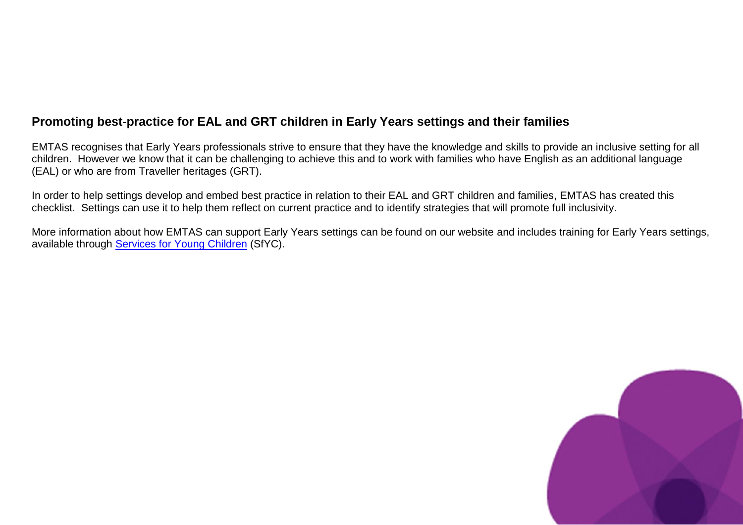#### **Promoting best-practice for EAL and GRT children in Early Years settings and their families**

EMTAS recognises that Early Years professionals strive to ensure that they have the knowledge and skills to provide an inclusive setting for all children. However we know that it can be challenging to achieve this and to work with families who have English as an additional language (EAL) or who are from Traveller heritages (GRT).

In order to help settings develop and embed best practice in relation to their EAL and GRT children and families, EMTAS has created this checklist. Settings can use it to help them reflect on current practice and to identify strategies that will promote full inclusivity.

More information about how EMTAS can support Early Years settings can be found on our website and includes training for Early Years settings, available through **Services for Young Children** (SfYC).

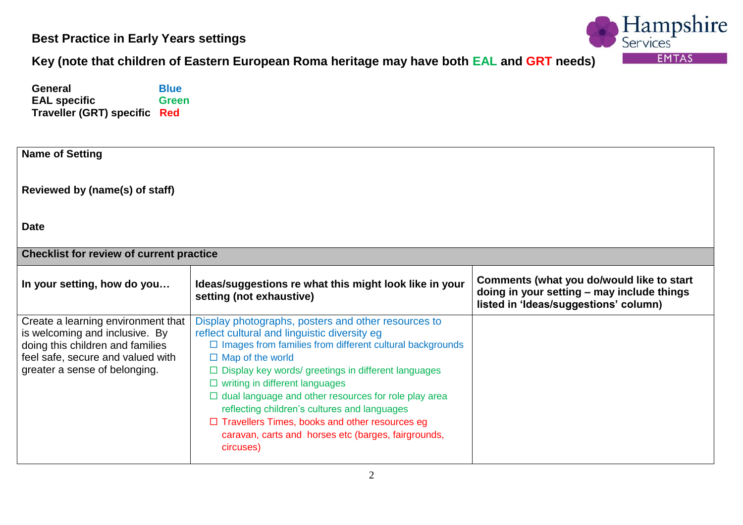

#### **Key (note that children of Eastern European Roma heritage may have both EAL and GRT needs)**

**General** Blue<br> **EAL** specific Green **EAL specific Traveller (GRT) specific Red** 

| <b>Name of Setting</b>                                                                                                                                                         |                                                                                                                                                                                                                                                                                                                                                                                                                                                                                                                                                      |                                                                                                                                  |  |
|--------------------------------------------------------------------------------------------------------------------------------------------------------------------------------|------------------------------------------------------------------------------------------------------------------------------------------------------------------------------------------------------------------------------------------------------------------------------------------------------------------------------------------------------------------------------------------------------------------------------------------------------------------------------------------------------------------------------------------------------|----------------------------------------------------------------------------------------------------------------------------------|--|
| Reviewed by (name(s) of staff)                                                                                                                                                 |                                                                                                                                                                                                                                                                                                                                                                                                                                                                                                                                                      |                                                                                                                                  |  |
| <b>Date</b>                                                                                                                                                                    |                                                                                                                                                                                                                                                                                                                                                                                                                                                                                                                                                      |                                                                                                                                  |  |
| <b>Checklist for review of current practice</b>                                                                                                                                |                                                                                                                                                                                                                                                                                                                                                                                                                                                                                                                                                      |                                                                                                                                  |  |
| In your setting, how do you                                                                                                                                                    | Ideas/suggestions re what this might look like in your<br>setting (not exhaustive)                                                                                                                                                                                                                                                                                                                                                                                                                                                                   | Comments (what you do/would like to start<br>doing in your setting - may include things<br>listed in 'Ideas/suggestions' column) |  |
| Create a learning environment that<br>is welcoming and inclusive. By<br>doing this children and families<br>feel safe, secure and valued with<br>greater a sense of belonging. | Display photographs, posters and other resources to<br>reflect cultural and linguistic diversity eg<br>$\Box$ Images from families from different cultural backgrounds<br>$\Box$ Map of the world<br>$\Box$ Display key words/ greetings in different languages<br>$\Box$ writing in different languages<br>$\Box$ dual language and other resources for role play area<br>reflecting children's cultures and languages<br>$\Box$ Travellers Times, books and other resources eg<br>caravan, carts and horses etc (barges, fairgrounds,<br>circuses) |                                                                                                                                  |  |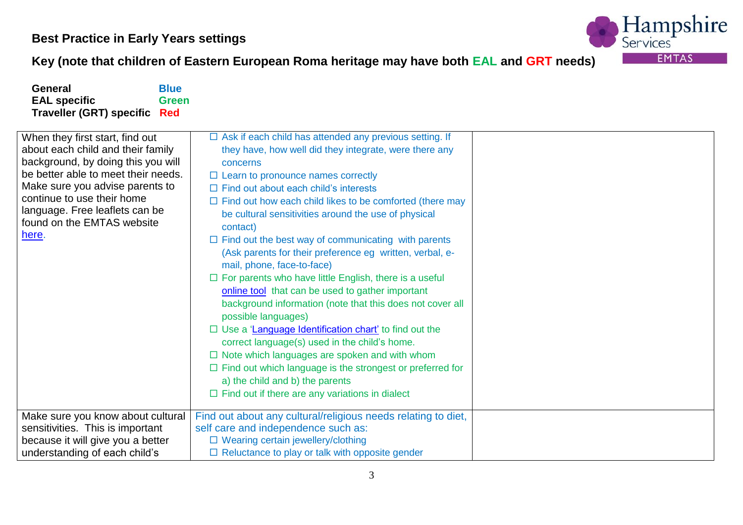

# **Key (note that children of Eastern European Roma heritage may have both EAL and GRT needs)**

| <b>General</b><br><b>Blue</b>                                                                                                                                                                                                                                                               |                                                                                                                                                                                                                                                                                                                                                                                                                                                                                                                                                                                                                                                                                                                                                                                                                                                            |  |
|---------------------------------------------------------------------------------------------------------------------------------------------------------------------------------------------------------------------------------------------------------------------------------------------|------------------------------------------------------------------------------------------------------------------------------------------------------------------------------------------------------------------------------------------------------------------------------------------------------------------------------------------------------------------------------------------------------------------------------------------------------------------------------------------------------------------------------------------------------------------------------------------------------------------------------------------------------------------------------------------------------------------------------------------------------------------------------------------------------------------------------------------------------------|--|
| <b>EAL specific</b><br><b>Green</b>                                                                                                                                                                                                                                                         |                                                                                                                                                                                                                                                                                                                                                                                                                                                                                                                                                                                                                                                                                                                                                                                                                                                            |  |
| <b>Traveller (GRT) specific</b><br>Red                                                                                                                                                                                                                                                      |                                                                                                                                                                                                                                                                                                                                                                                                                                                                                                                                                                                                                                                                                                                                                                                                                                                            |  |
| When they first start, find out<br>about each child and their family<br>background, by doing this you will<br>be better able to meet their needs.<br>Make sure you advise parents to<br>continue to use their home<br>language. Free leaflets can be<br>found on the EMTAS website<br>here. | $\Box$ Ask if each child has attended any previous setting. If<br>they have, how well did they integrate, were there any<br>concerns<br>$\Box$ Learn to pronounce names correctly<br>$\Box$ Find out about each child's interests<br>$\Box$ Find out how each child likes to be comforted (there may<br>be cultural sensitivities around the use of physical<br>contact)<br>$\Box$ Find out the best way of communicating with parents<br>(Ask parents for their preference eg written, verbal, e-<br>mail, phone, face-to-face)<br>$\Box$ For parents who have little English, there is a useful<br>online tool that can be used to gather important<br>background information (note that this does not cover all<br>possible languages)<br>$\Box$ Use a 'Language Identification chart' to find out the<br>correct language(s) used in the child's home. |  |
|                                                                                                                                                                                                                                                                                             | $\Box$ Note which languages are spoken and with whom<br>$\Box$ Find out which language is the strongest or preferred for                                                                                                                                                                                                                                                                                                                                                                                                                                                                                                                                                                                                                                                                                                                                   |  |
|                                                                                                                                                                                                                                                                                             | a) the child and b) the parents<br>$\Box$ Find out if there are any variations in dialect                                                                                                                                                                                                                                                                                                                                                                                                                                                                                                                                                                                                                                                                                                                                                                  |  |
| Make sure you know about cultural<br>sensitivities. This is important                                                                                                                                                                                                                       | Find out about any cultural/religious needs relating to diet,<br>self care and independence such as:                                                                                                                                                                                                                                                                                                                                                                                                                                                                                                                                                                                                                                                                                                                                                       |  |
| because it will give you a better                                                                                                                                                                                                                                                           | □ Wearing certain jewellery/clothing                                                                                                                                                                                                                                                                                                                                                                                                                                                                                                                                                                                                                                                                                                                                                                                                                       |  |
| understanding of each child's                                                                                                                                                                                                                                                               | $\Box$ Reluctance to play or talk with opposite gender                                                                                                                                                                                                                                                                                                                                                                                                                                                                                                                                                                                                                                                                                                                                                                                                     |  |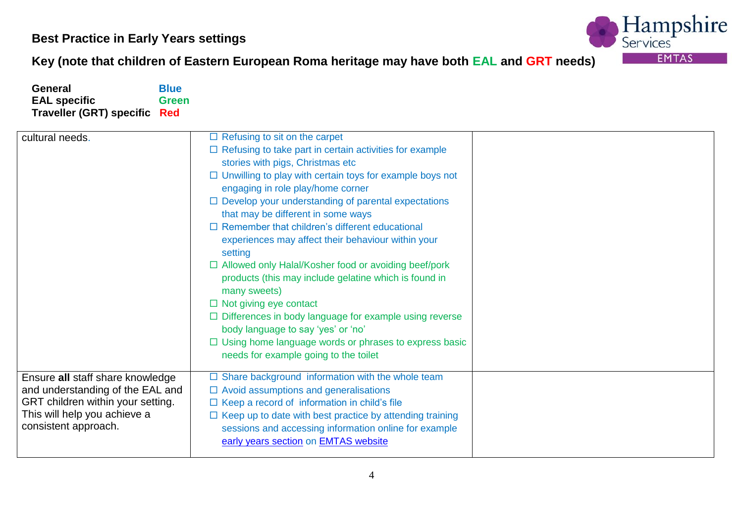

# **Key (note that children of Eastern European Roma heritage may have both EAL and GRT needs)**

| <b>General</b><br><b>EAL specific</b><br><b>Traveller (GRT) specific</b>                                                                                          | <b>Blue</b><br><b>Green</b><br>Red                                                                                                                                                                                                                                                                                                                                                                                                                                                                                                                                                                                                                                                                                                                                                                                                                                   |
|-------------------------------------------------------------------------------------------------------------------------------------------------------------------|----------------------------------------------------------------------------------------------------------------------------------------------------------------------------------------------------------------------------------------------------------------------------------------------------------------------------------------------------------------------------------------------------------------------------------------------------------------------------------------------------------------------------------------------------------------------------------------------------------------------------------------------------------------------------------------------------------------------------------------------------------------------------------------------------------------------------------------------------------------------|
| cultural needs.                                                                                                                                                   | $\Box$ Refusing to sit on the carpet<br>$\Box$ Refusing to take part in certain activities for example<br>stories with pigs, Christmas etc<br>$\Box$ Unwilling to play with certain toys for example boys not<br>engaging in role play/home corner<br>$\Box$ Develop your understanding of parental expectations<br>that may be different in some ways<br>$\Box$ Remember that children's different educational<br>experiences may affect their behaviour within your<br>setting<br>□ Allowed only Halal/Kosher food or avoiding beef/pork<br>products (this may include gelatine which is found in<br>many sweets)<br>$\Box$ Not giving eye contact<br>$\Box$ Differences in body language for example using reverse<br>body language to say 'yes' or 'no'<br>$\Box$ Using home language words or phrases to express basic<br>needs for example going to the toilet |
| Ensure all staff share knowledge<br>and understanding of the EAL and<br>GRT children within your setting.<br>This will help you achieve a<br>consistent approach. | $\Box$ Share background information with the whole team<br>$\Box$ Avoid assumptions and generalisations<br>$\Box$ Keep a record of information in child's file<br>$\Box$ Keep up to date with best practice by attending training<br>sessions and accessing information online for example<br>early years section on EMTAS website                                                                                                                                                                                                                                                                                                                                                                                                                                                                                                                                   |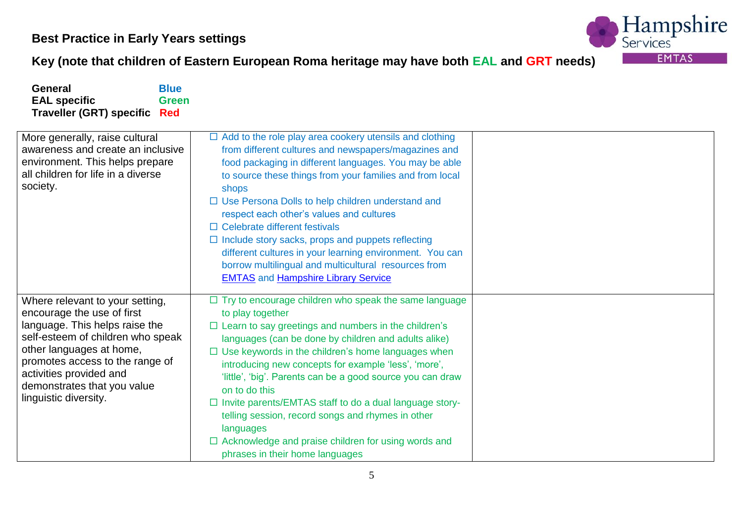

### **Key (note that children of Eastern European Roma heritage may have both EAL and GRT needs)**

| <b>General</b>                                                                                                                                                                                                                                                                         | <b>Blue</b>  |                                                                                                                                                                                                                                                                                                                                                                                                                                                                                                                                                                                                                                             |  |
|----------------------------------------------------------------------------------------------------------------------------------------------------------------------------------------------------------------------------------------------------------------------------------------|--------------|---------------------------------------------------------------------------------------------------------------------------------------------------------------------------------------------------------------------------------------------------------------------------------------------------------------------------------------------------------------------------------------------------------------------------------------------------------------------------------------------------------------------------------------------------------------------------------------------------------------------------------------------|--|
| <b>EAL specific</b><br><b>Traveller (GRT) specific Red</b>                                                                                                                                                                                                                             | <b>Green</b> |                                                                                                                                                                                                                                                                                                                                                                                                                                                                                                                                                                                                                                             |  |
| More generally, raise cultural<br>awareness and create an inclusive<br>environment. This helps prepare<br>all children for life in a diverse<br>society.                                                                                                                               |              | $\Box$ Add to the role play area cookery utensils and clothing<br>from different cultures and newspapers/magazines and<br>food packaging in different languages. You may be able<br>to source these things from your families and from local<br>shops<br>$\Box$ Use Persona Dolls to help children understand and<br>respect each other's values and cultures<br>$\Box$ Celebrate different festivals<br>$\Box$ Include story sacks, props and puppets reflecting<br>different cultures in your learning environment. You can<br>borrow multilingual and multicultural resources from<br><b>EMTAS</b> and <b>Hampshire Library Service</b>  |  |
| Where relevant to your setting,<br>encourage the use of first<br>language. This helps raise the<br>self-esteem of children who speak<br>other languages at home,<br>promotes access to the range of<br>activities provided and<br>demonstrates that you value<br>linguistic diversity. |              | $\Box$ Try to encourage children who speak the same language<br>to play together<br>$\Box$ Learn to say greetings and numbers in the children's<br>languages (can be done by children and adults alike)<br>$\Box$ Use keywords in the children's home languages when<br>introducing new concepts for example 'less', 'more',<br>'little', 'big'. Parents can be a good source you can draw<br>on to do this<br>□ Invite parents/EMTAS staff to do a dual language story-<br>telling session, record songs and rhymes in other<br>languages<br>$\Box$ Acknowledge and praise children for using words and<br>phrases in their home languages |  |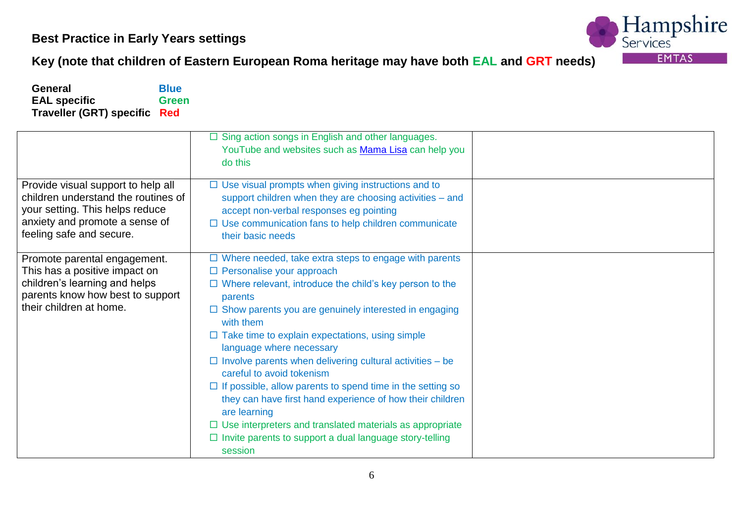

### **Key (note that children of Eastern European Roma heritage may have both EAL and GRT needs)**

**General** Blue<br> **EAL** specific Green **EAL specific Traveller (GRT) specific Red** 

|                                                                                                                                                                            | $\Box$ Sing action songs in English and other languages.<br>YouTube and websites such as Mama Lisa can help you<br>do this                                                                                                                                                                                                                                                                                                                                                                                                                                                                                                                                            |  |
|----------------------------------------------------------------------------------------------------------------------------------------------------------------------------|-----------------------------------------------------------------------------------------------------------------------------------------------------------------------------------------------------------------------------------------------------------------------------------------------------------------------------------------------------------------------------------------------------------------------------------------------------------------------------------------------------------------------------------------------------------------------------------------------------------------------------------------------------------------------|--|
| Provide visual support to help all<br>children understand the routines of<br>your setting. This helps reduce<br>anxiety and promote a sense of<br>feeling safe and secure. | $\Box$ Use visual prompts when giving instructions and to<br>support children when they are choosing activities - and<br>accept non-verbal responses eg pointing<br>$\Box$ Use communication fans to help children communicate<br>their basic needs                                                                                                                                                                                                                                                                                                                                                                                                                   |  |
| Promote parental engagement.<br>This has a positive impact on<br>children's learning and helps<br>parents know how best to support<br>their children at home.              | $\Box$ Where needed, take extra steps to engage with parents<br>$\Box$ Personalise your approach<br>$\Box$ Where relevant, introduce the child's key person to the<br>parents<br>$\Box$ Show parents you are genuinely interested in engaging<br>with them<br>$\Box$ Take time to explain expectations, using simple<br>language where necessary<br>$\Box$ Involve parents when delivering cultural activities – be<br>careful to avoid tokenism<br>$\Box$ If possible, allow parents to spend time in the setting so<br>they can have first hand experience of how their children<br>are learning<br>$\Box$ Use interpreters and translated materials as appropriate |  |
|                                                                                                                                                                            | $\Box$ Invite parents to support a dual language story-telling<br>session                                                                                                                                                                                                                                                                                                                                                                                                                                                                                                                                                                                             |  |